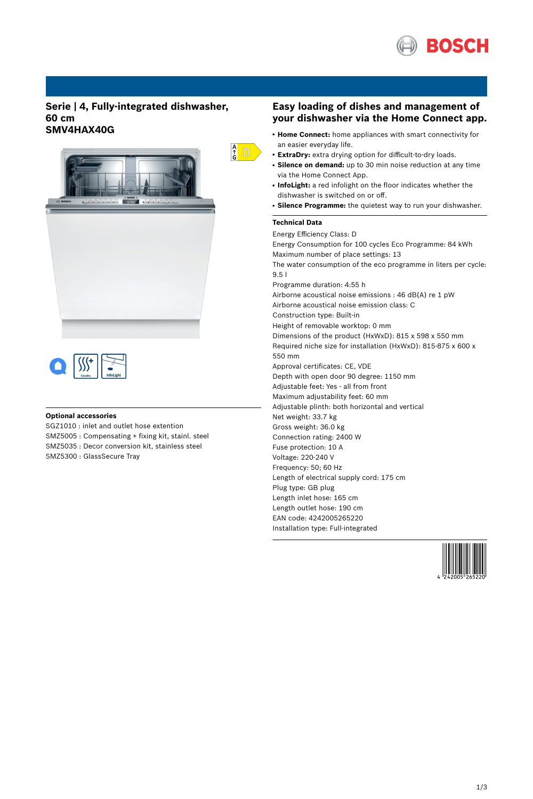

### **Serie | 4, Fully-integrated dishwasher, 60 cm SMV4HAX40G**





### **Optional accessories**

SGZ1010 : inlet and outlet hose extention SMZ5005 : Compensating + fixing kit, stainl. steel SMZ5035 : Decor conversion kit, stainless steel SMZ5300 : GlassSecure Tray

### **Easy loading of dishes and management of your dishwasher via the Home Connect app.**

- **Home Connect:** home appliances with smart connectivity for an easier everyday life.
- **ExtraDry:** extra drying option for difficult-to-dry loads.
- Silence on demand: up to 30 min noise reduction at any time via the Home Connect App.
- **InfoLight:** a red infolight on the floor indicates whether the dishwasher is switched on or off.
- **Silence Programme:** the quietest way to run your dishwasher.

#### **Technical Data**

 $\frac{A}{G}$  D

Energy Efficiency Class: D Energy Consumption for 100 cycles Eco Programme: 84 kWh Maximum number of place settings: 13 The water consumption of the eco programme in liters per cycle: 9.5 l Programme duration: 4:55 h Airborne acoustical noise emissions : 46 dB(A) re 1 pW Airborne acoustical noise emission class: C Construction type: Built-in Height of removable worktop: 0 mm Dimensions of the product (HxWxD): 815 x 598 x 550 mm Required niche size for installation (HxWxD): 815-875 x 600 x 550 mm Approval certificates: CE, VDE Depth with open door 90 degree: 1150 mm Adjustable feet: Yes - all from front Maximum adjustability feet: 60 mm Adjustable plinth: both horizontal and vertical Net weight: 33.7 kg Gross weight: 36.0 kg Connection rating: 2400 W Fuse protection: 10 A Voltage: 220-240 V Frequency: 50; 60 Hz Length of electrical supply cord: 175 cm Plug type: GB plug Length inlet hose: 165 cm Length outlet hose: 190 cm EAN code: 4242005265220 Installation type: Full-integrated

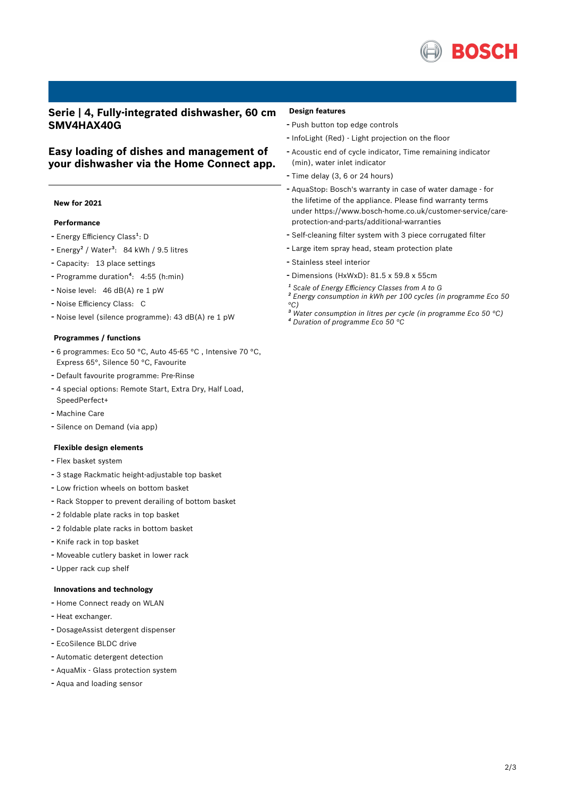

## **Serie | 4, Fully-integrated dishwasher, 60 cm SMV4HAX40G**

## **Easy loading of dishes and management of your dishwasher via the Home Connect app.**

### **New for 2021**

#### **Performance**

- Energy Efficiency Class<sup>1</sup>: D
- Energy<sup>2</sup> / Water<sup>3</sup>: 84 kWh / 9.5 litres
- Capacity: <sup>13</sup> place settings
- Programme duration<sup>4</sup>: 4:55 (h:min)
- Noise level: <sup>46</sup> dB(A) re <sup>1</sup> pW
- Noise Efficiency Class: <sup>C</sup>
- Noise level (silence programme): <sup>43</sup> dB(A) re <sup>1</sup> pW

#### **Programmes / functions**

- <sup>6</sup> programmes: Eco <sup>50</sup> °C, Auto 45-65 °C , Intensive <sup>70</sup> °C, Express 65°, Silence 50 °C, Favourite
- Default favourite programme: Pre-Rinse
- <sup>4</sup> special options: Remote Start, Extra Dry, Half Load,
- SpeedPerfect+
- Machine Care
- Silence on Demand (via app)

#### **Flexible design elements**

- Flex basket system
- <sup>3</sup> stage Rackmatic height-adjustable top basket
- Low friction wheels on bottom basket
- Rack Stopper to prevent derailing of bottom basket
- <sup>2</sup> foldable plate racks in top basket
- <sup>2</sup> foldable plate racks in bottom basket
- Knife rack in top basket
- Moveable cutlery basket in lower rack
- Upper rack cup shelf

#### **Innovations and technology**

- Home Connect ready on WLAN
- Heat exchanger.
- DosageAssist detergent dispenser
- EcoSilence BLDC drive
- Automatic detergent detection
- AquaMix Glass protection system
- Aqua and loading sensor

#### **Design features**

- Push button top edge controls
- InfoLight (Red) Light projection on the floor
- Acoustic end of cycle indicator, Time remaining indicator (min), water inlet indicator
- Time delay (3, <sup>6</sup> or <sup>24</sup> hours)
- AquaStop: Bosch's warranty in case of water damage for the lifetime of the appliance. Please find warranty terms under https://www.bosch-home.co.uk/customer-service/careprotection-and-parts/additional-warranties
- Self-cleaning filter system with <sup>3</sup> piece corrugated filter
- Large item spray head, steam protection plate
- Stainless steel interior
- Dimensions (HxWxD): 81.5 x 59.8 x 55cm
- *¹ Scale of Energy Efficiency Classes from A to G*
- *² Energy consumption in kWh per 100 cycles (in programme Eco 50 °C)*
- *³ Water consumption in litres per cycle (in programme Eco 50 °C)*
- *⁴ Duration of programme Eco 50 °C*